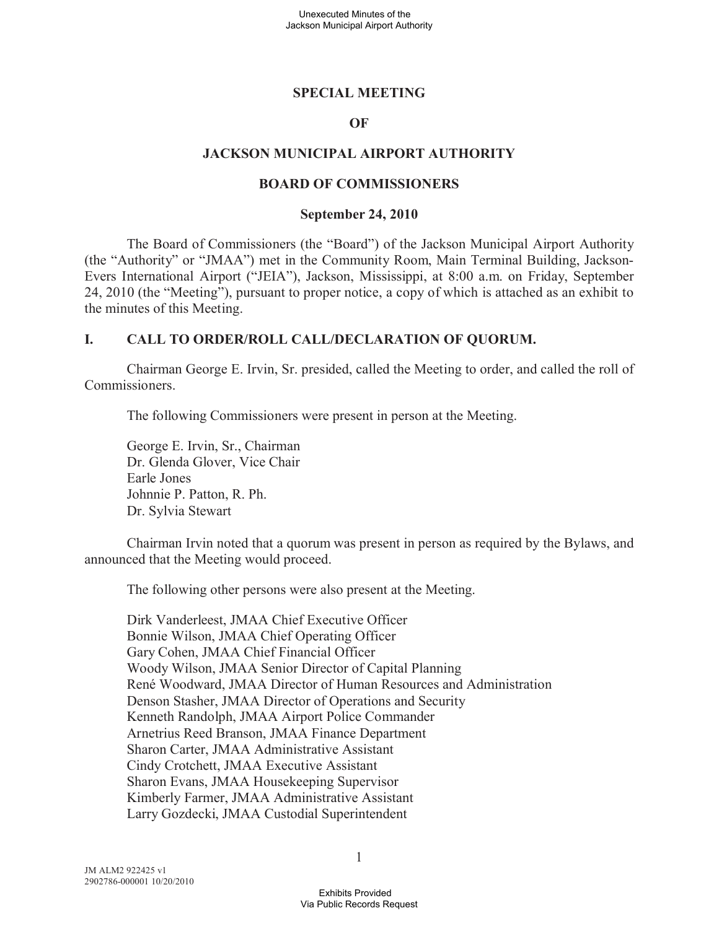### **SPECIAL MEETING**

### **OF**

### **JACKSON MUNICIPAL AIRPORT AUTHORITY**

#### **BOARD OF COMMISSIONERS**

#### **September 24, 2010**

The Board of Commissioners (the "Board") of the Jackson Municipal Airport Authority (the "Authority" or "JMAA") met in the Community Room, Main Terminal Building, Jackson-Evers International Airport ("JEIA"), Jackson, Mississippi, at 8:00 a.m. on Friday, September 24, 2010 (the "Meeting"), pursuant to proper notice, a copy of which is attached as an exhibit to the minutes of this Meeting.

### **I. CALL TO ORDER/ROLL CALL/DECLARATION OF QUORUM.**

Chairman George E. Irvin, Sr. presided, called the Meeting to order, and called the roll of Commissioners.

The following Commissioners were present in person at the Meeting.

George E. Irvin, Sr., Chairman Dr. Glenda Glover, Vice Chair Earle Jones Johnnie P. Patton, R. Ph. Dr. Sylvia Stewart

Chairman Irvin noted that a quorum was present in person as required by the Bylaws, and announced that the Meeting would proceed.

The following other persons were also present at the Meeting.

Dirk Vanderleest, JMAA Chief Executive Officer Bonnie Wilson, JMAA Chief Operating Officer Gary Cohen, JMAA Chief Financial Officer Woody Wilson, JMAA Senior Director of Capital Planning René Woodward, JMAA Director of Human Resources and Administration Denson Stasher, JMAA Director of Operations and Security Kenneth Randolph, JMAA Airport Police Commander Arnetrius Reed Branson, JMAA Finance Department Sharon Carter, JMAA Administrative Assistant Cindy Crotchett, JMAA Executive Assistant Sharon Evans, JMAA Housekeeping Supervisor Kimberly Farmer, JMAA Administrative Assistant Larry Gozdecki, JMAA Custodial Superintendent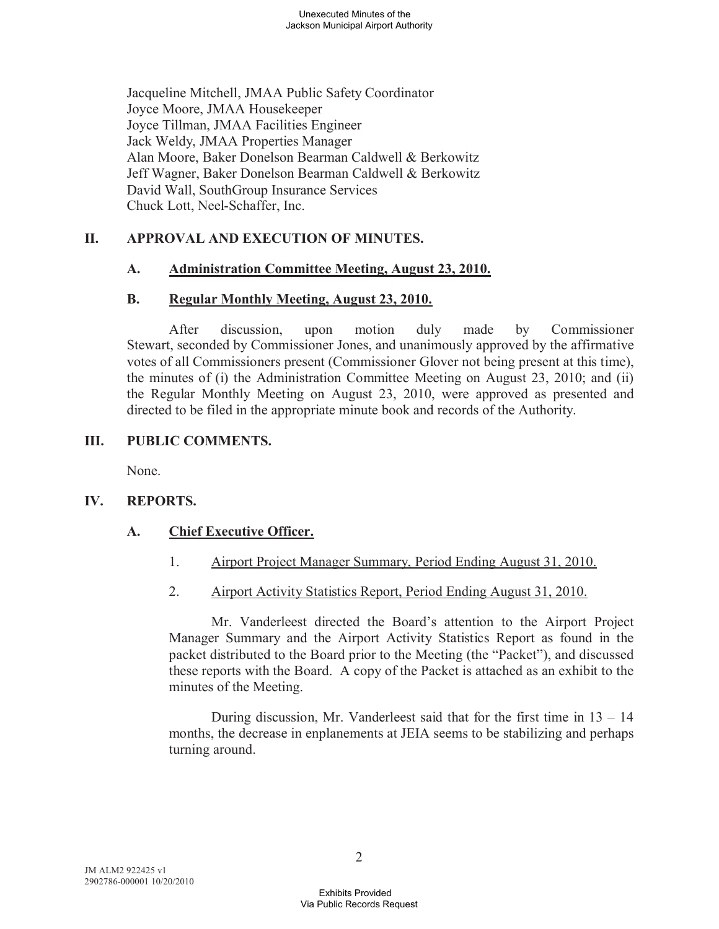Jacqueline Mitchell, JMAA Public Safety Coordinator Joyce Moore, JMAA Housekeeper Joyce Tillman, JMAA Facilities Engineer Jack Weldy, JMAA Properties Manager Alan Moore, Baker Donelson Bearman Caldwell & Berkowitz Jeff Wagner, Baker Donelson Bearman Caldwell & Berkowitz David Wall, SouthGroup Insurance Services Chuck Lott, Neel-Schaffer, Inc.

## **II. APPROVAL AND EXECUTION OF MINUTES.**

### **A. Administration Committee Meeting, August 23, 2010.**

### **B. Regular Monthly Meeting, August 23, 2010.**

After discussion, upon motion duly made by Commissioner Stewart, seconded by Commissioner Jones, and unanimously approved by the affirmative votes of all Commissioners present (Commissioner Glover not being present at this time), the minutes of (i) the Administration Committee Meeting on August 23, 2010; and (ii) the Regular Monthly Meeting on August 23, 2010, were approved as presented and directed to be filed in the appropriate minute book and records of the Authority.

### **III. PUBLIC COMMENTS.**

None.

# **IV. REPORTS.**

# **A. Chief Executive Officer.**

- 1. Airport Project Manager Summary, Period Ending August 31, 2010.
- 2. Airport Activity Statistics Report, Period Ending August 31, 2010.

Mr. Vanderleest directed the Board's attention to the Airport Project Manager Summary and the Airport Activity Statistics Report as found in the packet distributed to the Board prior to the Meeting (the "Packet"), and discussed these reports with the Board. A copy of the Packet is attached as an exhibit to the minutes of the Meeting.

During discussion, Mr. Vanderleest said that for the first time in 13 – 14 months, the decrease in enplanements at JEIA seems to be stabilizing and perhaps turning around.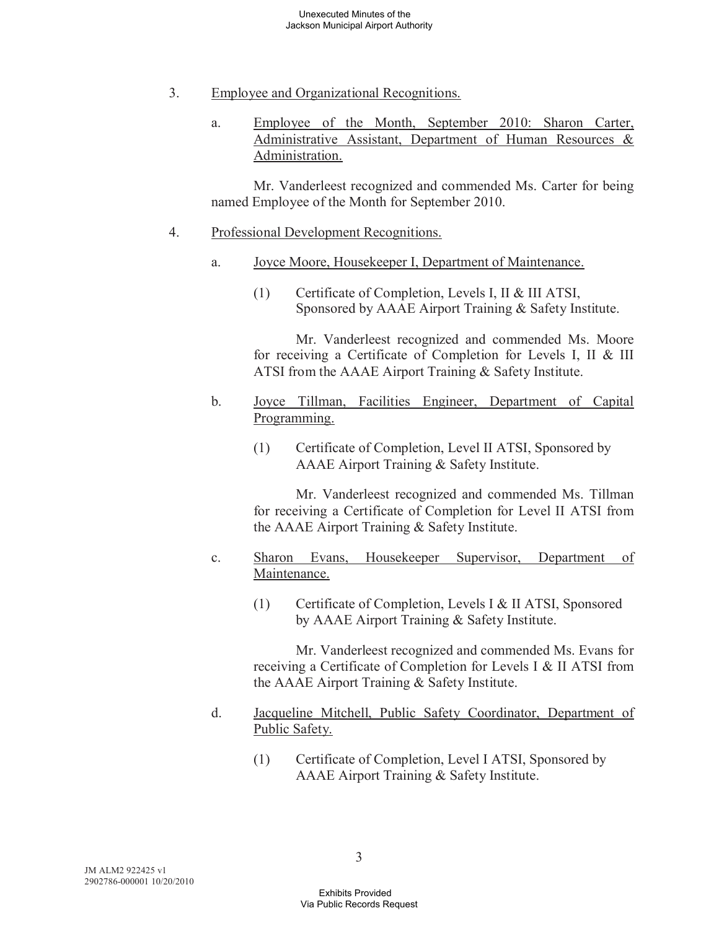- 3. Employee and Organizational Recognitions.
	- a. Employee of the Month, September 2010: Sharon Carter, Administrative Assistant, Department of Human Resources & Administration.

Mr. Vanderleest recognized and commended Ms. Carter for being named Employee of the Month for September 2010.

- 4. Professional Development Recognitions.
	- a. Joyce Moore, Housekeeper I, Department of Maintenance.
		- (1) Certificate of Completion, Levels I, II & III ATSI, Sponsored by AAAE Airport Training & Safety Institute.

Mr. Vanderleest recognized and commended Ms. Moore for receiving a Certificate of Completion for Levels I, II & III ATSI from the AAAE Airport Training & Safety Institute.

- b. Joyce Tillman, Facilities Engineer, Department of Capital Programming.
	- (1) Certificate of Completion, Level II ATSI, Sponsored by AAAE Airport Training & Safety Institute.

Mr. Vanderleest recognized and commended Ms. Tillman for receiving a Certificate of Completion for Level II ATSI from the AAAE Airport Training & Safety Institute.

- c. Sharon Evans, Housekeeper Supervisor, Department of Maintenance.
	- (1) Certificate of Completion, Levels I & II ATSI, Sponsored by AAAE Airport Training & Safety Institute.

Mr. Vanderleest recognized and commended Ms. Evans for receiving a Certificate of Completion for Levels I & II ATSI from the AAAE Airport Training & Safety Institute.

- d. Jacqueline Mitchell, Public Safety Coordinator, Department of Public Safety.
	- (1) Certificate of Completion, Level I ATSI, Sponsored by AAAE Airport Training & Safety Institute.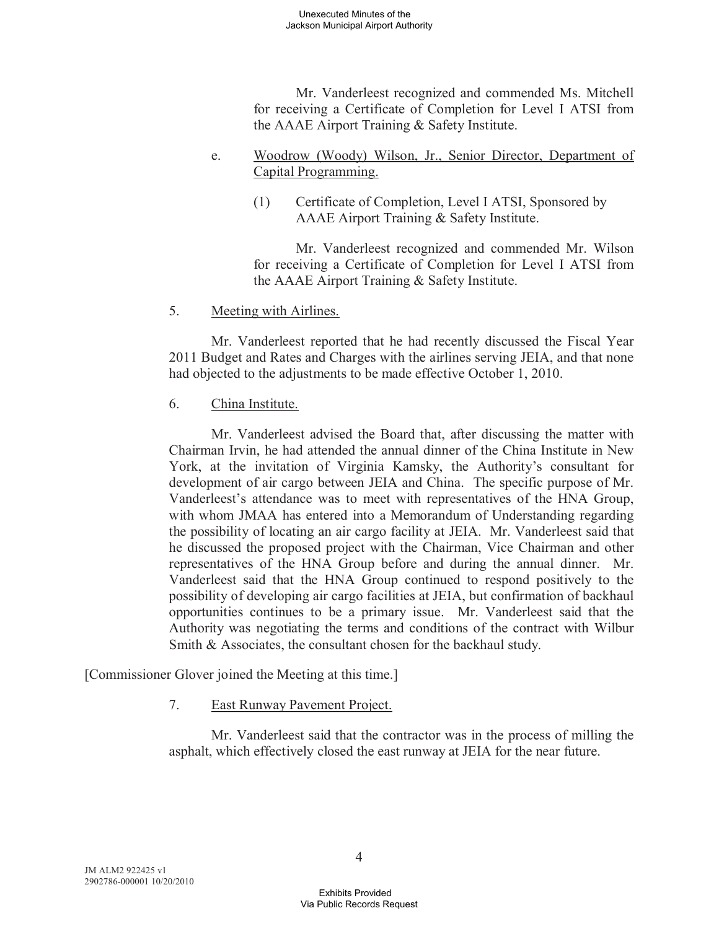Mr. Vanderleest recognized and commended Ms. Mitchell for receiving a Certificate of Completion for Level I ATSI from the AAAE Airport Training & Safety Institute.

### e. Woodrow (Woody) Wilson, Jr., Senior Director, Department of Capital Programming.

(1) Certificate of Completion, Level I ATSI, Sponsored by AAAE Airport Training & Safety Institute.

Mr. Vanderleest recognized and commended Mr. Wilson for receiving a Certificate of Completion for Level I ATSI from the AAAE Airport Training & Safety Institute.

5. Meeting with Airlines.

Mr. Vanderleest reported that he had recently discussed the Fiscal Year 2011 Budget and Rates and Charges with the airlines serving JEIA, and that none had objected to the adjustments to be made effective October 1, 2010.

# 6. China Institute.

Mr. Vanderleest advised the Board that, after discussing the matter with Chairman Irvin, he had attended the annual dinner of the China Institute in New York, at the invitation of Virginia Kamsky, the Authority's consultant for development of air cargo between JEIA and China. The specific purpose of Mr. Vanderleest's attendance was to meet with representatives of the HNA Group, with whom JMAA has entered into a Memorandum of Understanding regarding the possibility of locating an air cargo facility at JEIA. Mr. Vanderleest said that he discussed the proposed project with the Chairman, Vice Chairman and other representatives of the HNA Group before and during the annual dinner. Mr. Vanderleest said that the HNA Group continued to respond positively to the possibility of developing air cargo facilities at JEIA, but confirmation of backhaul opportunities continues to be a primary issue. Mr. Vanderleest said that the Authority was negotiating the terms and conditions of the contract with Wilbur Smith & Associates, the consultant chosen for the backhaul study.

[Commissioner Glover joined the Meeting at this time.]

# 7. East Runway Pavement Project.

Mr. Vanderleest said that the contractor was in the process of milling the asphalt, which effectively closed the east runway at JEIA for the near future.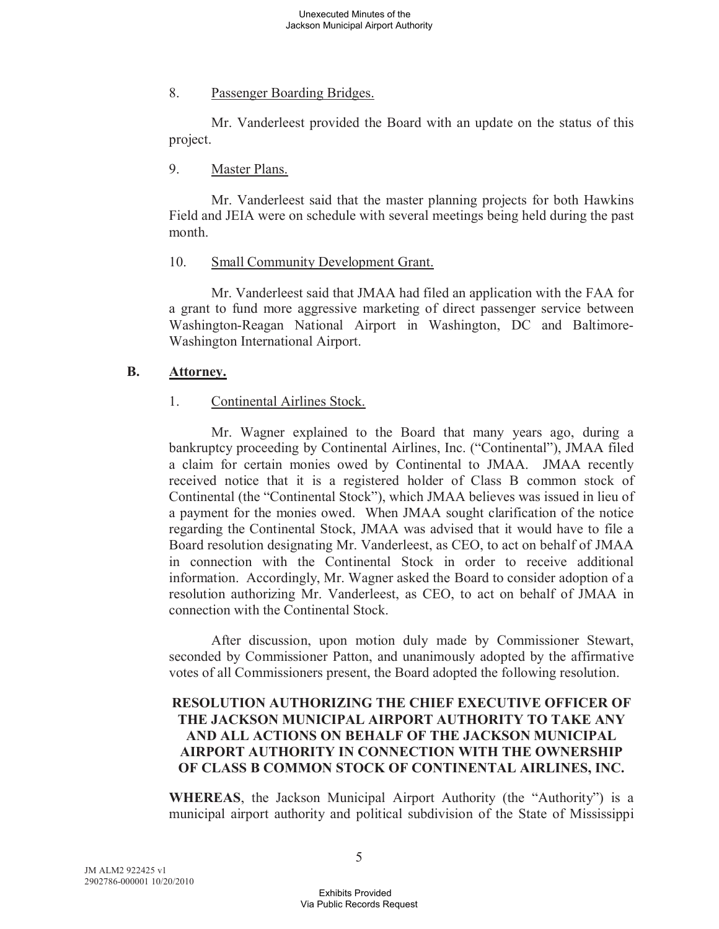### 8. Passenger Boarding Bridges.

Mr. Vanderleest provided the Board with an update on the status of this project.

## 9. Master Plans.

Mr. Vanderleest said that the master planning projects for both Hawkins Field and JEIA were on schedule with several meetings being held during the past month.

### 10. Small Community Development Grant.

Mr. Vanderleest said that JMAA had filed an application with the FAA for a grant to fund more aggressive marketing of direct passenger service between Washington-Reagan National Airport in Washington, DC and Baltimore-Washington International Airport.

### **B. Attorney.**

### 1. Continental Airlines Stock.

Mr. Wagner explained to the Board that many years ago, during a bankruptcy proceeding by Continental Airlines, Inc. ("Continental"), JMAA filed a claim for certain monies owed by Continental to JMAA. JMAA recently received notice that it is a registered holder of Class B common stock of Continental (the "Continental Stock"), which JMAA believes was issued in lieu of a payment for the monies owed. When JMAA sought clarification of the notice regarding the Continental Stock, JMAA was advised that it would have to file a Board resolution designating Mr. Vanderleest, as CEO, to act on behalf of JMAA in connection with the Continental Stock in order to receive additional information. Accordingly, Mr. Wagner asked the Board to consider adoption of a resolution authorizing Mr. Vanderleest, as CEO, to act on behalf of JMAA in connection with the Continental Stock.

After discussion, upon motion duly made by Commissioner Stewart, seconded by Commissioner Patton, and unanimously adopted by the affirmative votes of all Commissioners present, the Board adopted the following resolution.

## **RESOLUTION AUTHORIZING THE CHIEF EXECUTIVE OFFICER OF THE JACKSON MUNICIPAL AIRPORT AUTHORITY TO TAKE ANY AND ALL ACTIONS ON BEHALF OF THE JACKSON MUNICIPAL AIRPORT AUTHORITY IN CONNECTION WITH THE OWNERSHIP OF CLASS B COMMON STOCK OF CONTINENTAL AIRLINES, INC.**

**WHEREAS**, the Jackson Municipal Airport Authority (the "Authority") is a municipal airport authority and political subdivision of the State of Mississippi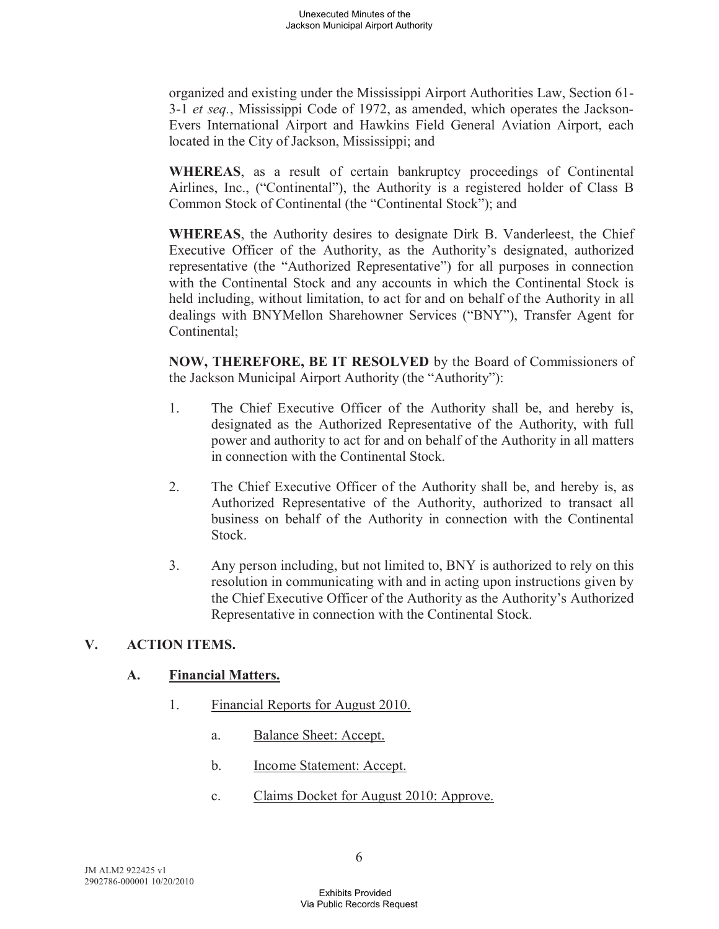organized and existing under the Mississippi Airport Authorities Law, Section 61- 3-1 *et seq.*, Mississippi Code of 1972, as amended, which operates the Jackson-Evers International Airport and Hawkins Field General Aviation Airport, each located in the City of Jackson, Mississippi; and

**WHEREAS**, as a result of certain bankruptcy proceedings of Continental Airlines, Inc., ("Continental"), the Authority is a registered holder of Class B Common Stock of Continental (the "Continental Stock"); and

**WHEREAS**, the Authority desires to designate Dirk B. Vanderleest, the Chief Executive Officer of the Authority, as the Authority's designated, authorized representative (the "Authorized Representative") for all purposes in connection with the Continental Stock and any accounts in which the Continental Stock is held including, without limitation, to act for and on behalf of the Authority in all dealings with BNYMellon Sharehowner Services ("BNY"), Transfer Agent for Continental;

**NOW, THEREFORE, BE IT RESOLVED** by the Board of Commissioners of the Jackson Municipal Airport Authority (the "Authority"):

- 1. The Chief Executive Officer of the Authority shall be, and hereby is, designated as the Authorized Representative of the Authority, with full power and authority to act for and on behalf of the Authority in all matters in connection with the Continental Stock.
- 2. The Chief Executive Officer of the Authority shall be, and hereby is, as Authorized Representative of the Authority, authorized to transact all business on behalf of the Authority in connection with the Continental Stock.
- 3. Any person including, but not limited to, BNY is authorized to rely on this resolution in communicating with and in acting upon instructions given by the Chief Executive Officer of the Authority as the Authority's Authorized Representative in connection with the Continental Stock.

# **V. ACTION ITEMS.**

# **A. Financial Matters.**

- 1. Financial Reports for August 2010.
	- a. Balance Sheet: Accept.
	- b. Income Statement: Accept.
	- c. Claims Docket for August 2010: Approve.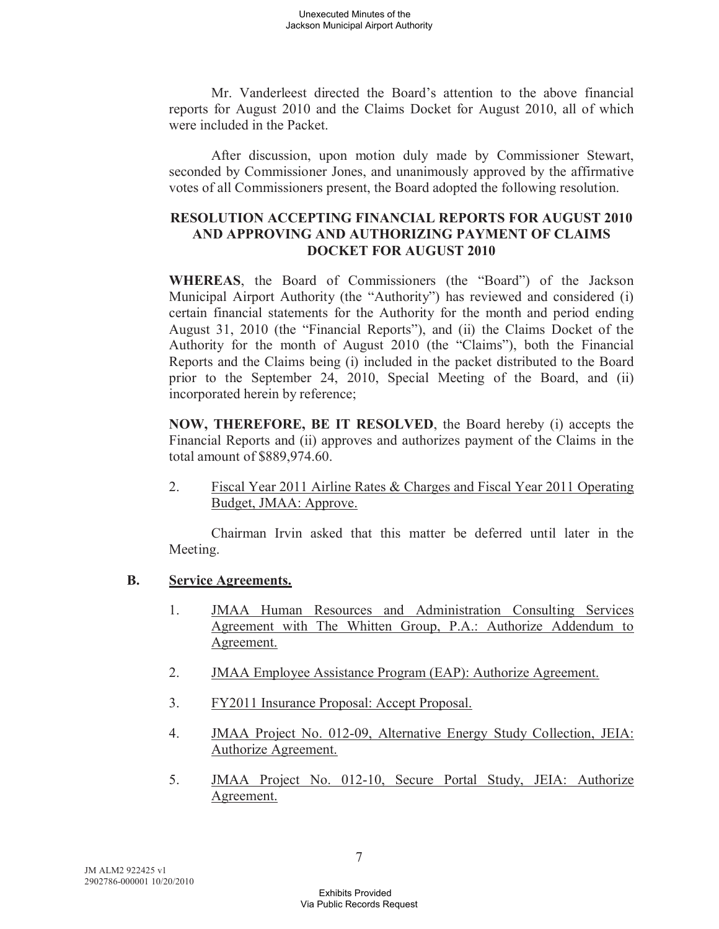Mr. Vanderleest directed the Board's attention to the above financial reports for August 2010 and the Claims Docket for August 2010, all of which were included in the Packet.

After discussion, upon motion duly made by Commissioner Stewart, seconded by Commissioner Jones, and unanimously approved by the affirmative votes of all Commissioners present, the Board adopted the following resolution.

# **RESOLUTION ACCEPTING FINANCIAL REPORTS FOR AUGUST 2010 AND APPROVING AND AUTHORIZING PAYMENT OF CLAIMS DOCKET FOR AUGUST 2010**

**WHEREAS**, the Board of Commissioners (the "Board") of the Jackson Municipal Airport Authority (the "Authority") has reviewed and considered (i) certain financial statements for the Authority for the month and period ending August 31, 2010 (the "Financial Reports"), and (ii) the Claims Docket of the Authority for the month of August 2010 (the "Claims"), both the Financial Reports and the Claims being (i) included in the packet distributed to the Board prior to the September 24, 2010, Special Meeting of the Board, and (ii) incorporated herein by reference;

**NOW, THEREFORE, BE IT RESOLVED**, the Board hereby (i) accepts the Financial Reports and (ii) approves and authorizes payment of the Claims in the total amount of \$889,974.60.

2. Fiscal Year 2011 Airline Rates & Charges and Fiscal Year 2011 Operating Budget, JMAA: Approve.

Chairman Irvin asked that this matter be deferred until later in the Meeting.

# **B. Service Agreements.**

- 1. JMAA Human Resources and Administration Consulting Services Agreement with The Whitten Group, P.A.: Authorize Addendum to Agreement.
- 2. JMAA Employee Assistance Program (EAP): Authorize Agreement.
- 3. FY2011 Insurance Proposal: Accept Proposal.
- 4. JMAA Project No. 012-09, Alternative Energy Study Collection, JEIA: Authorize Agreement.
- 5. JMAA Project No. 012-10, Secure Portal Study, JEIA: Authorize Agreement.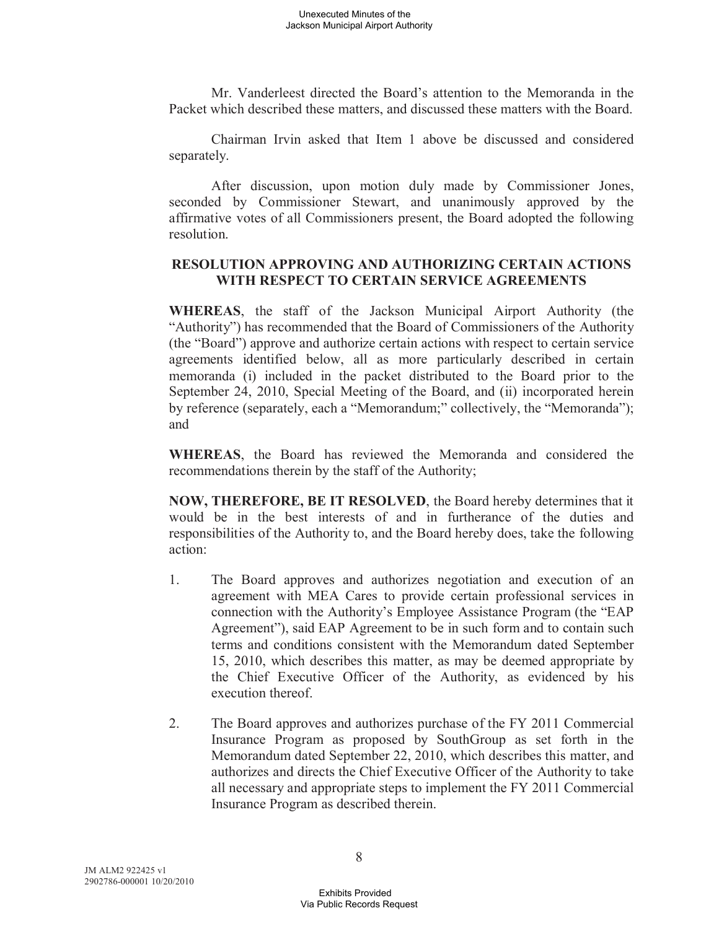Mr. Vanderleest directed the Board's attention to the Memoranda in the Packet which described these matters, and discussed these matters with the Board.

Chairman Irvin asked that Item 1 above be discussed and considered separately.

After discussion, upon motion duly made by Commissioner Jones, seconded by Commissioner Stewart, and unanimously approved by the affirmative votes of all Commissioners present, the Board adopted the following resolution.

## **RESOLUTION APPROVING AND AUTHORIZING CERTAIN ACTIONS WITH RESPECT TO CERTAIN SERVICE AGREEMENTS**

**WHEREAS**, the staff of the Jackson Municipal Airport Authority (the "Authority") has recommended that the Board of Commissioners of the Authority (the "Board") approve and authorize certain actions with respect to certain service agreements identified below, all as more particularly described in certain memoranda (i) included in the packet distributed to the Board prior to the September 24, 2010, Special Meeting of the Board, and (ii) incorporated herein by reference (separately, each a "Memorandum;" collectively, the "Memoranda"); and

**WHEREAS**, the Board has reviewed the Memoranda and considered the recommendations therein by the staff of the Authority;

**NOW, THEREFORE, BE IT RESOLVED**, the Board hereby determines that it would be in the best interests of and in furtherance of the duties and responsibilities of the Authority to, and the Board hereby does, take the following action:

- 1. The Board approves and authorizes negotiation and execution of an agreement with MEA Cares to provide certain professional services in connection with the Authority's Employee Assistance Program (the "EAP Agreement"), said EAP Agreement to be in such form and to contain such terms and conditions consistent with the Memorandum dated September 15, 2010, which describes this matter, as may be deemed appropriate by the Chief Executive Officer of the Authority, as evidenced by his execution thereof.
- 2. The Board approves and authorizes purchase of the FY 2011 Commercial Insurance Program as proposed by SouthGroup as set forth in the Memorandum dated September 22, 2010, which describes this matter, and authorizes and directs the Chief Executive Officer of the Authority to take all necessary and appropriate steps to implement the FY 2011 Commercial Insurance Program as described therein.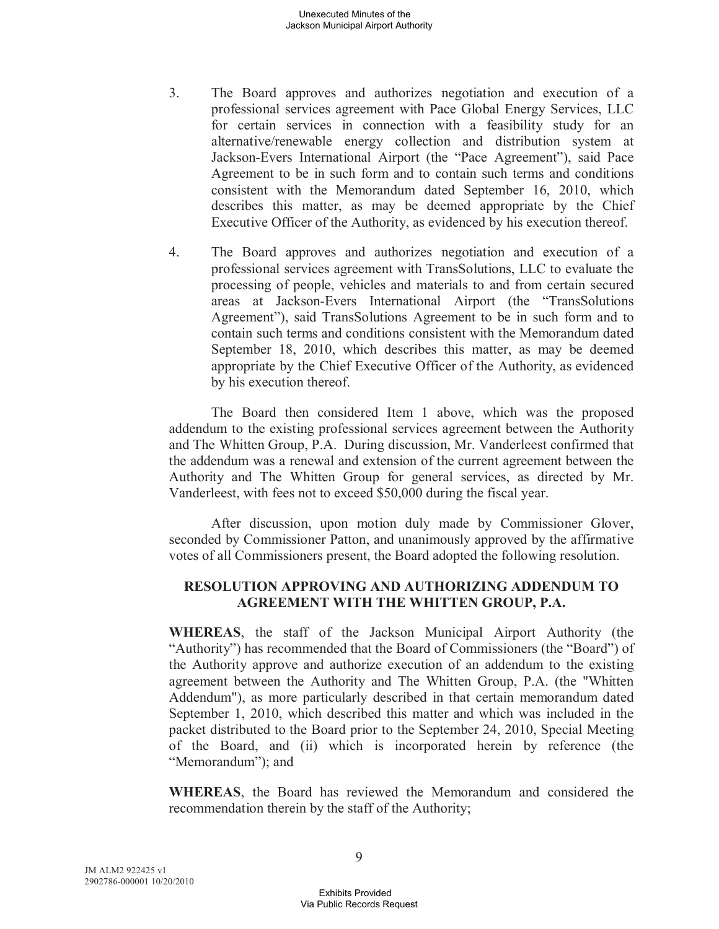- 3. The Board approves and authorizes negotiation and execution of a professional services agreement with Pace Global Energy Services, LLC for certain services in connection with a feasibility study for an alternative/renewable energy collection and distribution system at Jackson-Evers International Airport (the "Pace Agreement"), said Pace Agreement to be in such form and to contain such terms and conditions consistent with the Memorandum dated September 16, 2010, which describes this matter, as may be deemed appropriate by the Chief Executive Officer of the Authority, as evidenced by his execution thereof.
- 4. The Board approves and authorizes negotiation and execution of a professional services agreement with TransSolutions, LLC to evaluate the processing of people, vehicles and materials to and from certain secured areas at Jackson-Evers International Airport (the "TransSolutions Agreement"), said TransSolutions Agreement to be in such form and to contain such terms and conditions consistent with the Memorandum dated September 18, 2010, which describes this matter, as may be deemed appropriate by the Chief Executive Officer of the Authority, as evidenced by his execution thereof.

The Board then considered Item 1 above, which was the proposed addendum to the existing professional services agreement between the Authority and The Whitten Group, P.A. During discussion, Mr. Vanderleest confirmed that the addendum was a renewal and extension of the current agreement between the Authority and The Whitten Group for general services, as directed by Mr. Vanderleest, with fees not to exceed \$50,000 during the fiscal year.

After discussion, upon motion duly made by Commissioner Glover, seconded by Commissioner Patton, and unanimously approved by the affirmative votes of all Commissioners present, the Board adopted the following resolution.

# **RESOLUTION APPROVING AND AUTHORIZING ADDENDUM TO AGREEMENT WITH THE WHITTEN GROUP, P.A.**

**WHEREAS**, the staff of the Jackson Municipal Airport Authority (the "Authority") has recommended that the Board of Commissioners (the "Board") of the Authority approve and authorize execution of an addendum to the existing agreement between the Authority and The Whitten Group, P.A. (the "Whitten Addendum"), as more particularly described in that certain memorandum dated September 1, 2010, which described this matter and which was included in the packet distributed to the Board prior to the September 24, 2010, Special Meeting of the Board, and (ii) which is incorporated herein by reference (the "Memorandum"); and

**WHEREAS**, the Board has reviewed the Memorandum and considered the recommendation therein by the staff of the Authority;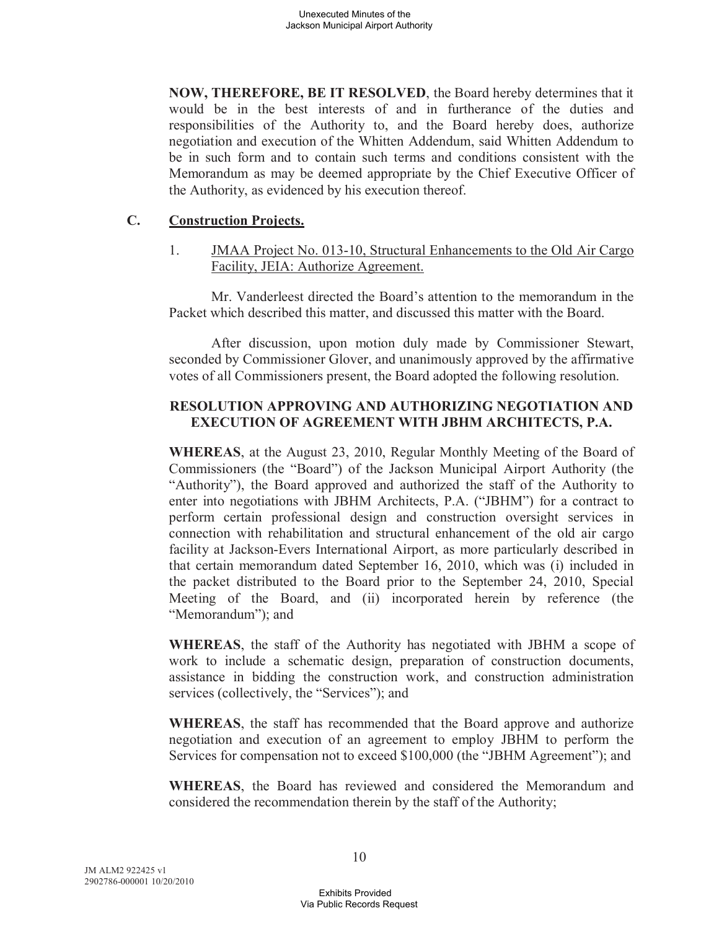**NOW, THEREFORE, BE IT RESOLVED**, the Board hereby determines that it would be in the best interests of and in furtherance of the duties and responsibilities of the Authority to, and the Board hereby does, authorize negotiation and execution of the Whitten Addendum, said Whitten Addendum to be in such form and to contain such terms and conditions consistent with the Memorandum as may be deemed appropriate by the Chief Executive Officer of the Authority, as evidenced by his execution thereof.

### **C. Construction Projects.**

1. JMAA Project No. 013-10, Structural Enhancements to the Old Air Cargo Facility, JEIA: Authorize Agreement.

Mr. Vanderleest directed the Board's attention to the memorandum in the Packet which described this matter, and discussed this matter with the Board.

After discussion, upon motion duly made by Commissioner Stewart, seconded by Commissioner Glover, and unanimously approved by the affirmative votes of all Commissioners present, the Board adopted the following resolution.

### **RESOLUTION APPROVING AND AUTHORIZING NEGOTIATION AND EXECUTION OF AGREEMENT WITH JBHM ARCHITECTS, P.A.**

**WHEREAS**, at the August 23, 2010, Regular Monthly Meeting of the Board of Commissioners (the "Board") of the Jackson Municipal Airport Authority (the "Authority"), the Board approved and authorized the staff of the Authority to enter into negotiations with JBHM Architects, P.A. ("JBHM") for a contract to perform certain professional design and construction oversight services in connection with rehabilitation and structural enhancement of the old air cargo facility at Jackson-Evers International Airport, as more particularly described in that certain memorandum dated September 16, 2010, which was (i) included in the packet distributed to the Board prior to the September 24, 2010, Special Meeting of the Board, and (ii) incorporated herein by reference (the "Memorandum"); and

**WHEREAS**, the staff of the Authority has negotiated with JBHM a scope of work to include a schematic design, preparation of construction documents, assistance in bidding the construction work, and construction administration services (collectively, the "Services"); and

**WHEREAS**, the staff has recommended that the Board approve and authorize negotiation and execution of an agreement to employ JBHM to perform the Services for compensation not to exceed \$100,000 (the "JBHM Agreement"); and

**WHEREAS**, the Board has reviewed and considered the Memorandum and considered the recommendation therein by the staff of the Authority;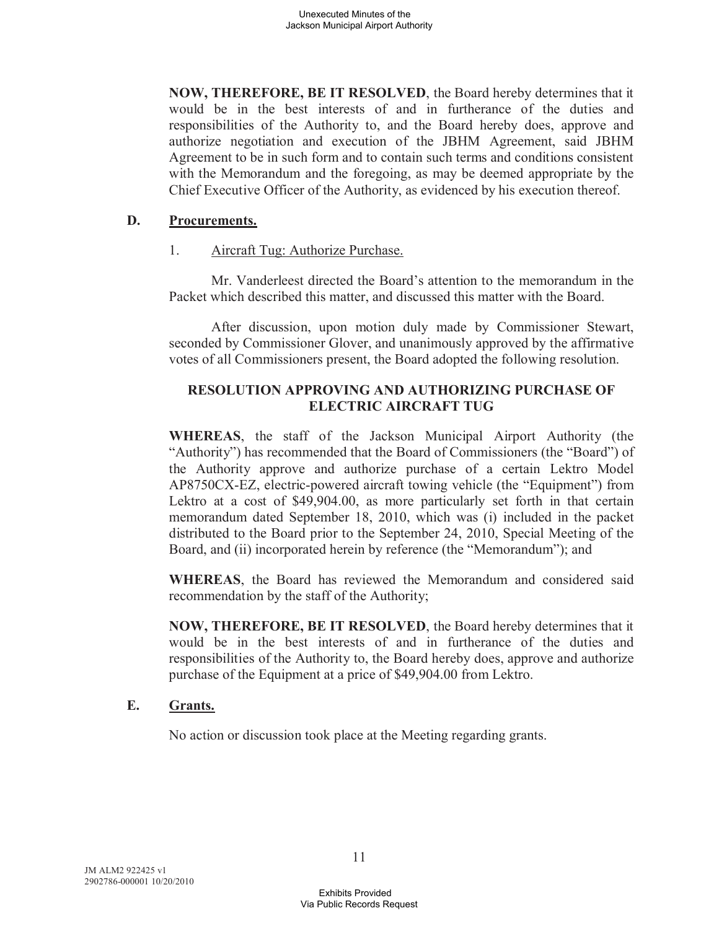**NOW, THEREFORE, BE IT RESOLVED**, the Board hereby determines that it would be in the best interests of and in furtherance of the duties and responsibilities of the Authority to, and the Board hereby does, approve and authorize negotiation and execution of the JBHM Agreement, said JBHM Agreement to be in such form and to contain such terms and conditions consistent with the Memorandum and the foregoing, as may be deemed appropriate by the Chief Executive Officer of the Authority, as evidenced by his execution thereof.

### **D. Procurements.**

1. Aircraft Tug: Authorize Purchase.

Mr. Vanderleest directed the Board's attention to the memorandum in the Packet which described this matter, and discussed this matter with the Board.

After discussion, upon motion duly made by Commissioner Stewart, seconded by Commissioner Glover, and unanimously approved by the affirmative votes of all Commissioners present, the Board adopted the following resolution.

# **RESOLUTION APPROVING AND AUTHORIZING PURCHASE OF ELECTRIC AIRCRAFT TUG**

**WHEREAS**, the staff of the Jackson Municipal Airport Authority (the "Authority") has recommended that the Board of Commissioners (the "Board") of the Authority approve and authorize purchase of a certain Lektro Model AP8750CX-EZ, electric-powered aircraft towing vehicle (the "Equipment") from Lektro at a cost of \$49,904.00, as more particularly set forth in that certain memorandum dated September 18, 2010, which was (i) included in the packet distributed to the Board prior to the September 24, 2010, Special Meeting of the Board, and (ii) incorporated herein by reference (the "Memorandum"); and

**WHEREAS**, the Board has reviewed the Memorandum and considered said recommendation by the staff of the Authority;

**NOW, THEREFORE, BE IT RESOLVED**, the Board hereby determines that it would be in the best interests of and in furtherance of the duties and responsibilities of the Authority to, the Board hereby does, approve and authorize purchase of the Equipment at a price of \$49,904.00 from Lektro.

# **E. Grants.**

No action or discussion took place at the Meeting regarding grants.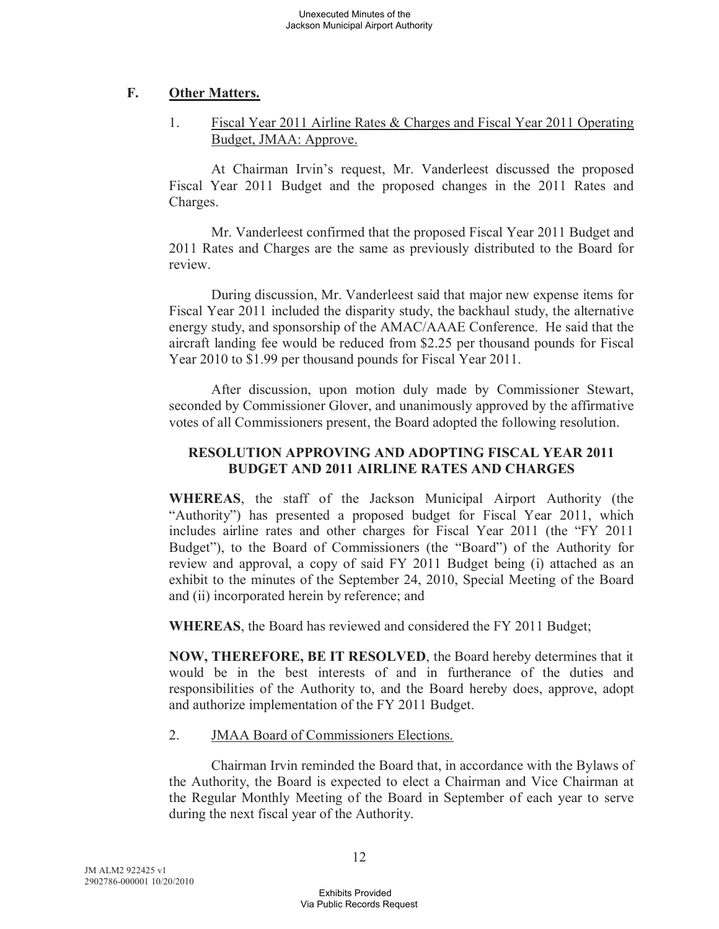# **F. Other Matters.**

# 1. Fiscal Year 2011 Airline Rates & Charges and Fiscal Year 2011 Operating Budget, JMAA: Approve.

At Chairman Irvin's request, Mr. Vanderleest discussed the proposed Fiscal Year 2011 Budget and the proposed changes in the 2011 Rates and Charges.

Mr. Vanderleest confirmed that the proposed Fiscal Year 2011 Budget and 2011 Rates and Charges are the same as previously distributed to the Board for review.

During discussion, Mr. Vanderleest said that major new expense items for Fiscal Year 2011 included the disparity study, the backhaul study, the alternative energy study, and sponsorship of the AMAC/AAAE Conference. He said that the aircraft landing fee would be reduced from \$2.25 per thousand pounds for Fiscal Year 2010 to \$1.99 per thousand pounds for Fiscal Year 2011.

After discussion, upon motion duly made by Commissioner Stewart, seconded by Commissioner Glover, and unanimously approved by the affirmative votes of all Commissioners present, the Board adopted the following resolution.

# **RESOLUTION APPROVING AND ADOPTING FISCAL YEAR 2011 BUDGET AND 2011 AIRLINE RATES AND CHARGES**

**WHEREAS**, the staff of the Jackson Municipal Airport Authority (the "Authority") has presented a proposed budget for Fiscal Year 2011, which includes airline rates and other charges for Fiscal Year 2011 (the "FY 2011 Budget"), to the Board of Commissioners (the "Board") of the Authority for review and approval, a copy of said FY 2011 Budget being (i) attached as an exhibit to the minutes of the September 24, 2010, Special Meeting of the Board and (ii) incorporated herein by reference; and

**WHEREAS**, the Board has reviewed and considered the FY 2011 Budget;

**NOW, THEREFORE, BE IT RESOLVED**, the Board hereby determines that it would be in the best interests of and in furtherance of the duties and responsibilities of the Authority to, and the Board hereby does, approve, adopt and authorize implementation of the FY 2011 Budget.

# 2. JMAA Board of Commissioners Elections.

Chairman Irvin reminded the Board that, in accordance with the Bylaws of the Authority, the Board is expected to elect a Chairman and Vice Chairman at the Regular Monthly Meeting of the Board in September of each year to serve during the next fiscal year of the Authority.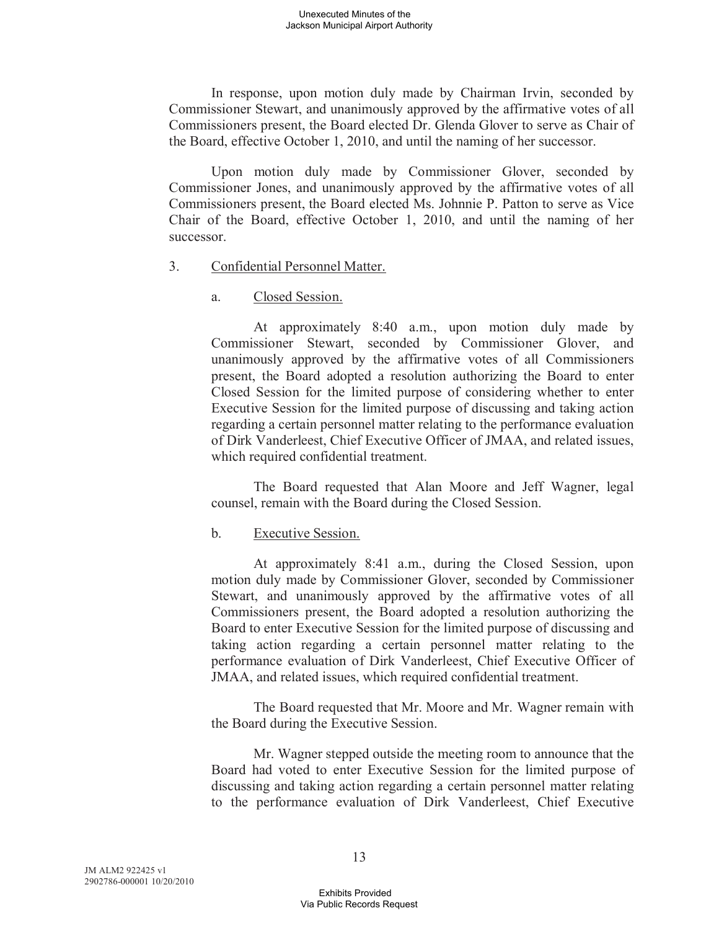In response, upon motion duly made by Chairman Irvin, seconded by Commissioner Stewart, and unanimously approved by the affirmative votes of all Commissioners present, the Board elected Dr. Glenda Glover to serve as Chair of the Board, effective October 1, 2010, and until the naming of her successor.

Upon motion duly made by Commissioner Glover, seconded by Commissioner Jones, and unanimously approved by the affirmative votes of all Commissioners present, the Board elected Ms. Johnnie P. Patton to serve as Vice Chair of the Board, effective October 1, 2010, and until the naming of her successor.

- 3. Confidential Personnel Matter.
	- a. Closed Session.

At approximately 8:40 a.m., upon motion duly made by Commissioner Stewart, seconded by Commissioner Glover, and unanimously approved by the affirmative votes of all Commissioners present, the Board adopted a resolution authorizing the Board to enter Closed Session for the limited purpose of considering whether to enter Executive Session for the limited purpose of discussing and taking action regarding a certain personnel matter relating to the performance evaluation of Dirk Vanderleest, Chief Executive Officer of JMAA, and related issues, which required confidential treatment.

The Board requested that Alan Moore and Jeff Wagner, legal counsel, remain with the Board during the Closed Session.

### b. Executive Session.

At approximately 8:41 a.m., during the Closed Session, upon motion duly made by Commissioner Glover, seconded by Commissioner Stewart, and unanimously approved by the affirmative votes of all Commissioners present, the Board adopted a resolution authorizing the Board to enter Executive Session for the limited purpose of discussing and taking action regarding a certain personnel matter relating to the performance evaluation of Dirk Vanderleest, Chief Executive Officer of JMAA, and related issues, which required confidential treatment.

The Board requested that Mr. Moore and Mr. Wagner remain with the Board during the Executive Session.

Mr. Wagner stepped outside the meeting room to announce that the Board had voted to enter Executive Session for the limited purpose of discussing and taking action regarding a certain personnel matter relating to the performance evaluation of Dirk Vanderleest, Chief Executive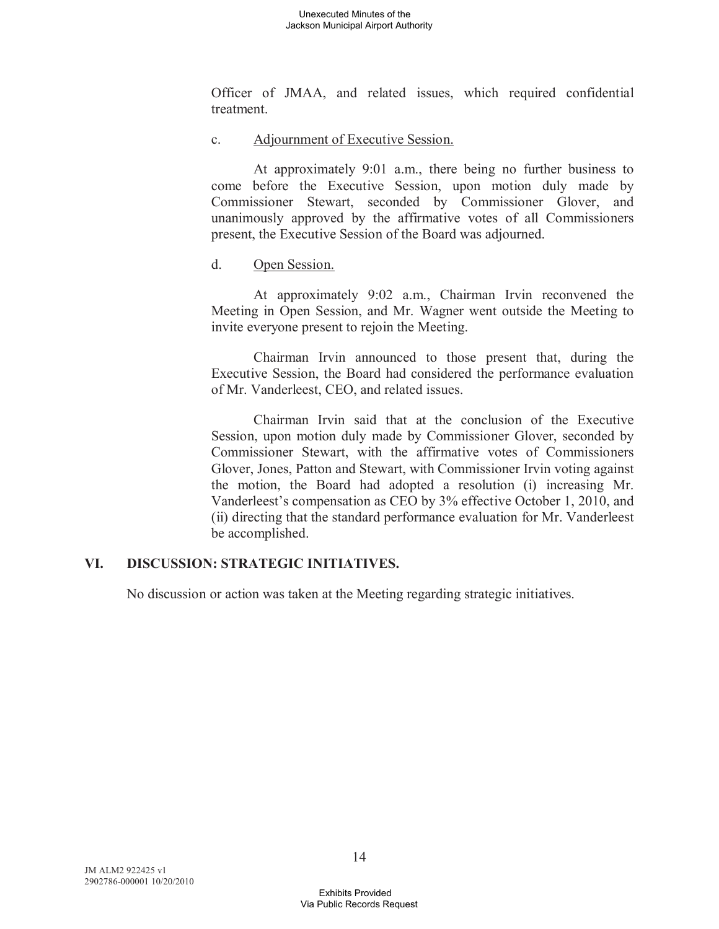Officer of JMAA, and related issues, which required confidential treatment.

c. Adjournment of Executive Session.

At approximately 9:01 a.m., there being no further business to come before the Executive Session, upon motion duly made by Commissioner Stewart, seconded by Commissioner Glover, and unanimously approved by the affirmative votes of all Commissioners present, the Executive Session of the Board was adjourned.

### d. Open Session.

At approximately 9:02 a.m., Chairman Irvin reconvened the Meeting in Open Session, and Mr. Wagner went outside the Meeting to invite everyone present to rejoin the Meeting.

Chairman Irvin announced to those present that, during the Executive Session, the Board had considered the performance evaluation of Mr. Vanderleest, CEO, and related issues.

Chairman Irvin said that at the conclusion of the Executive Session, upon motion duly made by Commissioner Glover, seconded by Commissioner Stewart, with the affirmative votes of Commissioners Glover, Jones, Patton and Stewart, with Commissioner Irvin voting against the motion, the Board had adopted a resolution (i) increasing Mr. Vanderleest's compensation as CEO by 3% effective October 1, 2010, and (ii) directing that the standard performance evaluation for Mr. Vanderleest be accomplished.

# **VI. DISCUSSION: STRATEGIC INITIATIVES.**

No discussion or action was taken at the Meeting regarding strategic initiatives.